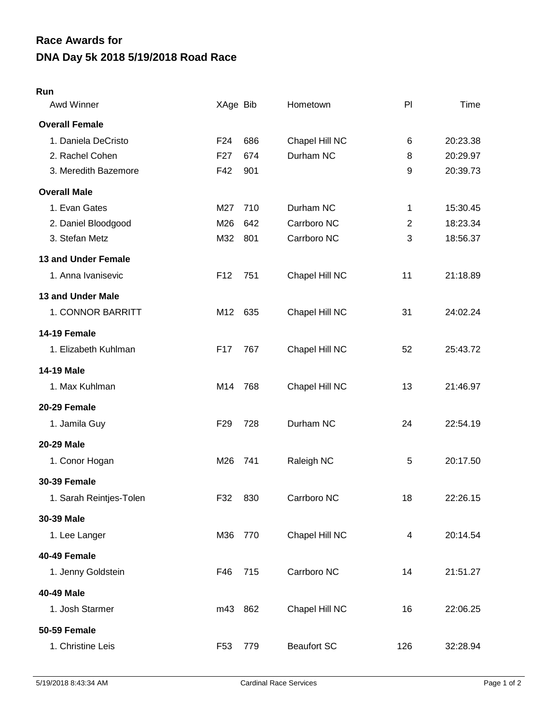## **DNA Day 5k 2018 5/19/2018 Road Race Race Awards for**

## **Run**

| Awd Winner              | XAge Bib        |     | Hometown           | PI             | Time     |
|-------------------------|-----------------|-----|--------------------|----------------|----------|
| <b>Overall Female</b>   |                 |     |                    |                |          |
| 1. Daniela DeCristo     | F <sub>24</sub> | 686 | Chapel Hill NC     | 6              | 20:23.38 |
| 2. Rachel Cohen         | F <sub>27</sub> | 674 | Durham NC          | 8              | 20:29.97 |
| 3. Meredith Bazemore    | F42             | 901 |                    | 9              | 20:39.73 |
| <b>Overall Male</b>     |                 |     |                    |                |          |
| 1. Evan Gates           | M27             | 710 | Durham NC          | 1              | 15:30.45 |
| 2. Daniel Bloodgood     | M26             | 642 | Carrboro NC        | $\overline{2}$ | 18:23.34 |
| 3. Stefan Metz          | M32             | 801 | Carrboro NC        | 3              | 18:56.37 |
| 13 and Under Female     |                 |     |                    |                |          |
| 1. Anna Ivanisevic      | F <sub>12</sub> | 751 | Chapel Hill NC     | 11             | 21:18.89 |
| 13 and Under Male       |                 |     |                    |                |          |
| 1. CONNOR BARRITT       | M12             | 635 | Chapel Hill NC     | 31             | 24:02.24 |
| 14-19 Female            |                 |     |                    |                |          |
| 1. Elizabeth Kuhlman    | F17             | 767 | Chapel Hill NC     | 52             | 25:43.72 |
| 14-19 Male              |                 |     |                    |                |          |
| 1. Max Kuhlman          | M14             | 768 | Chapel Hill NC     | 13             | 21:46.97 |
| 20-29 Female            |                 |     |                    |                |          |
| 1. Jamila Guy           | F <sub>29</sub> | 728 | Durham NC          | 24             | 22:54.19 |
| <b>20-29 Male</b>       |                 |     |                    |                |          |
| 1. Conor Hogan          | M26             | 741 | Raleigh NC         | 5              | 20:17.50 |
| <b>30-39 Female</b>     |                 |     |                    |                |          |
| 1. Sarah Reintjes-Tolen | F32             | 830 | Carrboro NC        | 18             | 22:26.15 |
| 30-39 Male              |                 |     |                    |                |          |
| 1. Lee Langer           | M36             | 770 | Chapel Hill NC     | 4              | 20:14.54 |
| 40-49 Female            |                 |     |                    |                |          |
| 1. Jenny Goldstein      | F46             | 715 | Carrboro NC        | 14             | 21:51.27 |
| 40-49 Male              |                 |     |                    |                |          |
| 1. Josh Starmer         | m43 862         |     | Chapel Hill NC     | 16             | 22:06.25 |
| 50-59 Female            |                 |     |                    |                |          |
| 1. Christine Leis       | F <sub>53</sub> | 779 | <b>Beaufort SC</b> | 126            | 32:28.94 |
|                         |                 |     |                    |                |          |